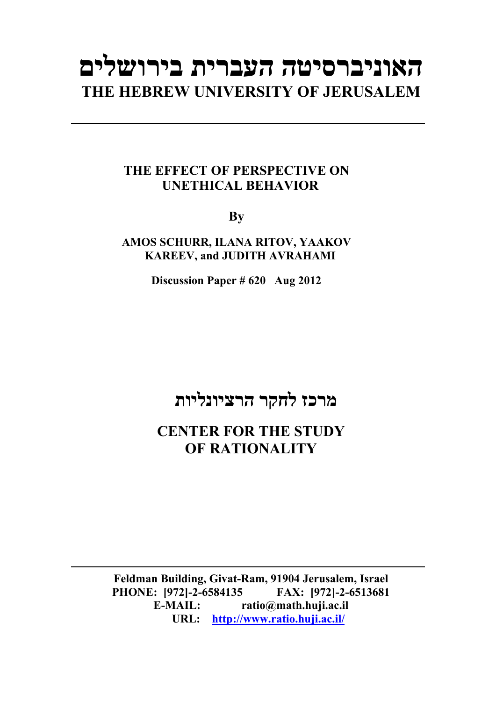# **האוניברסיטה העברית בירושלים THE HEBREW UNIVERSITY OF JERUSALEM**

### **THE EFFECT OF PERSPECTIVE ON UNETHICAL BEHAVIOR**

**By** 

**AMOS SCHURR, ILANA RITOV, YAAKOV KAREEV, and JUDITH AVRAHAMI** 

**Discussion Paper # 620 Aug 2012**

## **מרכז לחקר הרציונליות**

**CENTER FOR THE STUDY OF RATIONALITY** 

**Feldman Building, Givat-Ram, 91904 Jerusalem, Israel PHONE: [972]-2-6584135 FAX: [972]-2-6513681 E-MAIL: ratio@math.huji.ac.il URL: http://www.ratio.huji.ac.il/**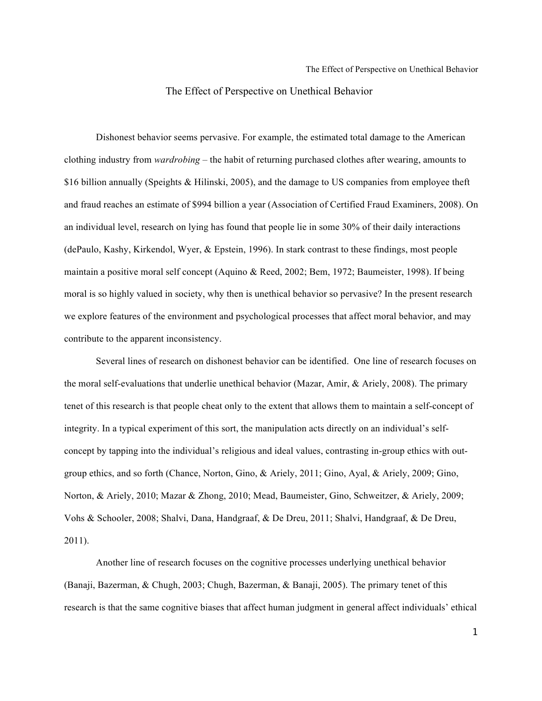Dishonest behavior seems pervasive. For example, the estimated total damage to the American clothing industry from *wardrobing* – the habit of returning purchased clothes after wearing, amounts to \$16 billion annually (Speights & Hilinski, 2005), and the damage to US companies from employee theft and fraud reaches an estimate of \$994 billion a year (Association of Certified Fraud Examiners, 2008). On an individual level, research on lying has found that people lie in some 30% of their daily interactions (dePaulo, Kashy, Kirkendol, Wyer, & Epstein, 1996). In stark contrast to these findings, most people maintain a positive moral self concept (Aquino & Reed, 2002; Bem, 1972; Baumeister, 1998). If being moral is so highly valued in society, why then is unethical behavior so pervasive? In the present research we explore features of the environment and psychological processes that affect moral behavior, and may contribute to the apparent inconsistency.

Several lines of research on dishonest behavior can be identified. One line of research focuses on the moral self-evaluations that underlie unethical behavior (Mazar, Amir, & Ariely, 2008). The primary tenet of this research is that people cheat only to the extent that allows them to maintain a self-concept of integrity. In a typical experiment of this sort, the manipulation acts directly on an individual's selfconcept by tapping into the individual's religious and ideal values, contrasting in-group ethics with outgroup ethics, and so forth (Chance, Norton, Gino, & Ariely, 2011; Gino, Ayal, & Ariely, 2009; Gino, Norton, & Ariely, 2010; Mazar & Zhong, 2010; Mead, Baumeister, Gino, Schweitzer, & Ariely, 2009; Vohs & Schooler, 2008; Shalvi, Dana, Handgraaf, & De Dreu, 2011; Shalvi, Handgraaf, & De Dreu, 2011).

Another line of research focuses on the cognitive processes underlying unethical behavior (Banaji, Bazerman, & Chugh, 2003; Chugh, Bazerman, & Banaji, 2005). The primary tenet of this research is that the same cognitive biases that affect human judgment in general affect individuals' ethical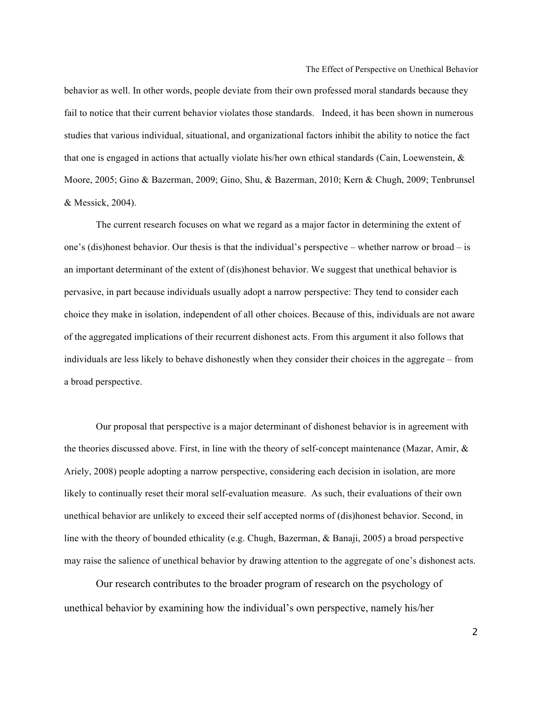behavior as well. In other words, people deviate from their own professed moral standards because they fail to notice that their current behavior violates those standards. Indeed, it has been shown in numerous studies that various individual, situational, and organizational factors inhibit the ability to notice the fact that one is engaged in actions that actually violate his/her own ethical standards (Cain, Loewenstein,  $\&$ Moore, 2005; Gino & Bazerman, 2009; Gino, Shu, & Bazerman, 2010; Kern & Chugh, 2009; Tenbrunsel & Messick, 2004).

The current research focuses on what we regard as a major factor in determining the extent of one's (dis)honest behavior. Our thesis is that the individual's perspective – whether narrow or broad – is an important determinant of the extent of (dis)honest behavior. We suggest that unethical behavior is pervasive, in part because individuals usually adopt a narrow perspective: They tend to consider each choice they make in isolation, independent of all other choices. Because of this, individuals are not aware of the aggregated implications of their recurrent dishonest acts. From this argument it also follows that individuals are less likely to behave dishonestly when they consider their choices in the aggregate – from a broad perspective.

Our proposal that perspective is a major determinant of dishonest behavior is in agreement with the theories discussed above. First, in line with the theory of self-concept maintenance (Mazar, Amir,  $\&$ Ariely, 2008) people adopting a narrow perspective, considering each decision in isolation, are more likely to continually reset their moral self-evaluation measure. As such, their evaluations of their own unethical behavior are unlikely to exceed their self accepted norms of (dis)honest behavior. Second, in line with the theory of bounded ethicality (e.g. Chugh, Bazerman, & Banaji, 2005) a broad perspective may raise the salience of unethical behavior by drawing attention to the aggregate of one's dishonest acts.

Our research contributes to the broader program of research on the psychology of unethical behavior by examining how the individual's own perspective, namely his/her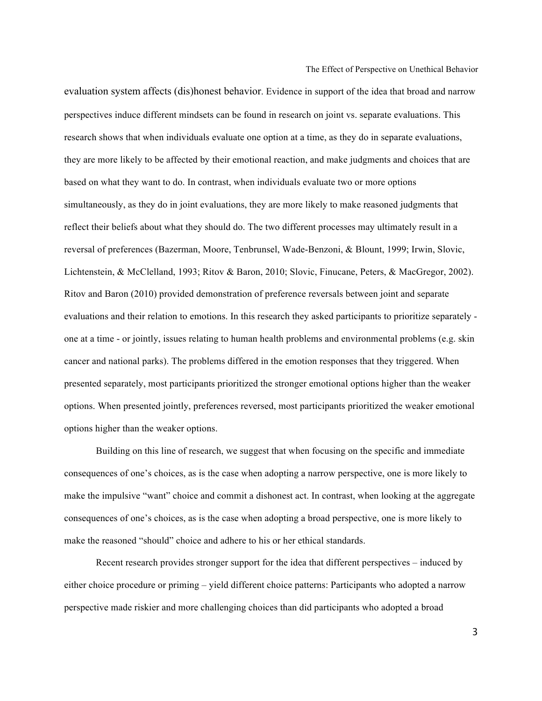evaluation system affects (dis)honest behavior. Evidence in support of the idea that broad and narrow perspectives induce different mindsets can be found in research on joint vs. separate evaluations. This research shows that when individuals evaluate one option at a time, as they do in separate evaluations, they are more likely to be affected by their emotional reaction, and make judgments and choices that are based on what they want to do. In contrast, when individuals evaluate two or more options simultaneously, as they do in joint evaluations, they are more likely to make reasoned judgments that reflect their beliefs about what they should do. The two different processes may ultimately result in a reversal of preferences (Bazerman, Moore, Tenbrunsel, Wade-Benzoni, & Blount, 1999; Irwin, Slovic, Lichtenstein, & McClelland, 1993; Ritov & Baron, 2010; Slovic, Finucane, Peters, & MacGregor, 2002). Ritov and Baron (2010) provided demonstration of preference reversals between joint and separate evaluations and their relation to emotions. In this research they asked participants to prioritize separately one at a time - or jointly, issues relating to human health problems and environmental problems (e.g. skin cancer and national parks). The problems differed in the emotion responses that they triggered. When presented separately, most participants prioritized the stronger emotional options higher than the weaker options. When presented jointly, preferences reversed, most participants prioritized the weaker emotional options higher than the weaker options.

Building on this line of research, we suggest that when focusing on the specific and immediate consequences of one's choices, as is the case when adopting a narrow perspective, one is more likely to make the impulsive "want" choice and commit a dishonest act. In contrast, when looking at the aggregate consequences of one's choices, as is the case when adopting a broad perspective, one is more likely to make the reasoned "should" choice and adhere to his or her ethical standards.

Recent research provides stronger support for the idea that different perspectives – induced by either choice procedure or priming – yield different choice patterns: Participants who adopted a narrow perspective made riskier and more challenging choices than did participants who adopted a broad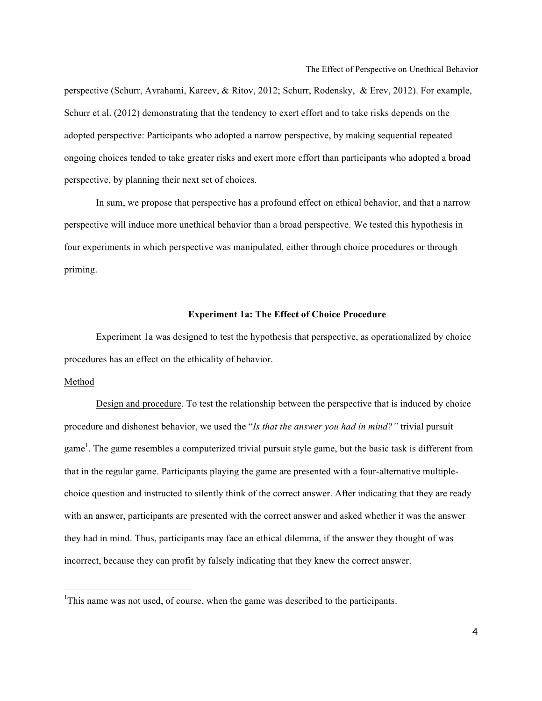perspective (Schurr, Avrahami, Kareev, & Ritov, 2012; Schurr, Rodensky, & Erev, 2012). For example, Schurr et al. (2012) demonstrating that the tendency to exert effort and to take risks depends on the adopted perspective: Participants who adopted a narrow perspective, by making sequential repeated ongoing choices tended to take greater risks and exert more effort than participants who adopted a broad perspective, by planning their next set of choices.

In sum, we propose that perspective has a profound effect on ethical behavior, and that a narrow perspective will induce more unethical behavior than a broad perspective. We tested this hypothesis in four experiments in which perspective was manipulated, either through choice procedures or through priming.

#### **Experiment 1a: The Effect of Choice Procedure**

Experiment 1a was designed to test the hypothesis that perspective, as operationalized by choice procedures has an effect on the ethicality of behavior.

#### Method

l

Design and procedure. To test the relationship between the perspective that is induced by choice procedure and dishonest behavior, we used the "*Is that the answer you had in mind?"* trivial pursuit game<sup>1</sup>. The game resembles a computerized trivial pursuit style game, but the basic task is different from that in the regular game. Participants playing the game are presented with a four-alternative multiplechoice question and instructed to silently think of the correct answer. After indicating that they are ready with an answer, participants are presented with the correct answer and asked whether it was the answer they had in mind. Thus, participants may face an ethical dilemma, if the answer they thought of was incorrect, because they can profit by falsely indicating that they knew the correct answer.

<sup>&</sup>lt;sup>1</sup>This name was not used, of course, when the game was described to the participants.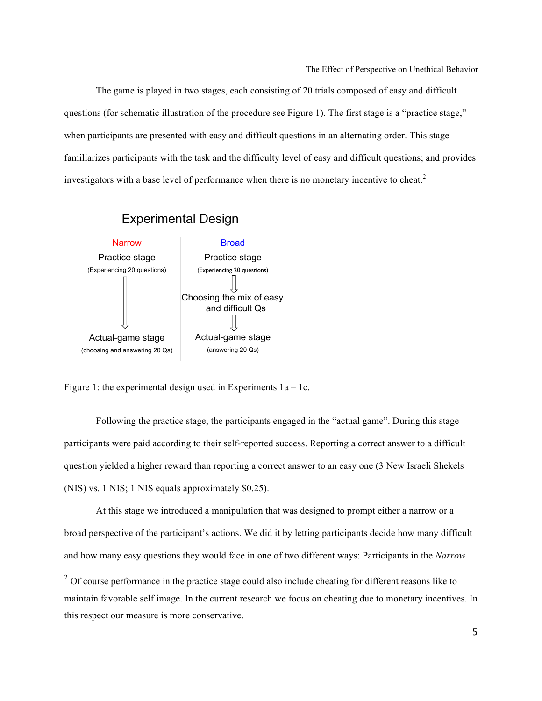The game is played in two stages, each consisting of 20 trials composed of easy and difficult questions (for schematic illustration of the procedure see Figure 1). The first stage is a "practice stage," when participants are presented with easy and difficult questions in an alternating order. This stage familiarizes participants with the task and the difficulty level of easy and difficult questions; and provides investigators with a base level of performance when there is no monetary incentive to cheat.<sup>2</sup>



Figure 1: the experimental design used in Experiments  $1a - 1c$ .

Following the practice stage, the participants engaged in the "actual game". During this stage participants were paid according to their self-reported success. Reporting a correct answer to a difficult question yielded a higher reward than reporting a correct answer to an easy one (3 New Israeli Shekels (NIS) vs. 1 NIS; 1 NIS equals approximately \$0.25).

At this stage we introduced a manipulation that was designed to prompt either a narrow or a broad perspective of the participant's actions. We did it by letting participants decide how many difficult and how many easy questions they would face in one of two different ways: Participants in the *Narrow* 

 $2^{\circ}$  Of course performance in the practice stage could also include cheating for different reasons like to maintain favorable self image. In the current research we focus on cheating due to monetary incentives. In this respect our measure is more conservative.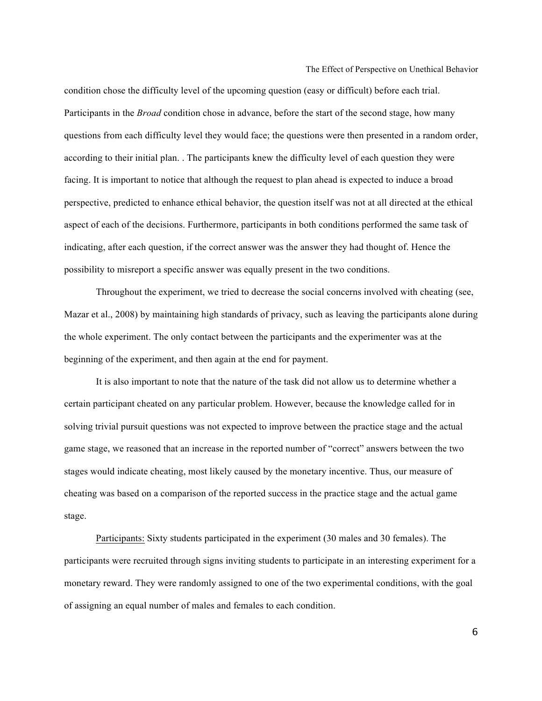condition chose the difficulty level of the upcoming question (easy or difficult) before each trial. Participants in the *Broad* condition chose in advance, before the start of the second stage, how many questions from each difficulty level they would face; the questions were then presented in a random order, according to their initial plan. . The participants knew the difficulty level of each question they were facing. It is important to notice that although the request to plan ahead is expected to induce a broad perspective, predicted to enhance ethical behavior, the question itself was not at all directed at the ethical aspect of each of the decisions. Furthermore, participants in both conditions performed the same task of indicating, after each question, if the correct answer was the answer they had thought of. Hence the possibility to misreport a specific answer was equally present in the two conditions.

Throughout the experiment, we tried to decrease the social concerns involved with cheating (see, Mazar et al., 2008) by maintaining high standards of privacy, such as leaving the participants alone during the whole experiment. The only contact between the participants and the experimenter was at the beginning of the experiment, and then again at the end for payment.

It is also important to note that the nature of the task did not allow us to determine whether a certain participant cheated on any particular problem. However, because the knowledge called for in solving trivial pursuit questions was not expected to improve between the practice stage and the actual game stage, we reasoned that an increase in the reported number of "correct" answers between the two stages would indicate cheating, most likely caused by the monetary incentive. Thus, our measure of cheating was based on a comparison of the reported success in the practice stage and the actual game stage.

Participants: Sixty students participated in the experiment (30 males and 30 females). The participants were recruited through signs inviting students to participate in an interesting experiment for a monetary reward. They were randomly assigned to one of the two experimental conditions, with the goal of assigning an equal number of males and females to each condition.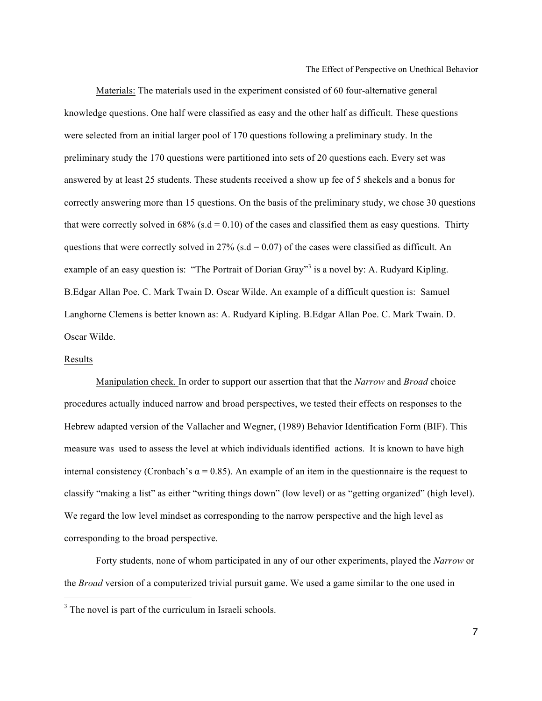Materials: The materials used in the experiment consisted of 60 four-alternative general knowledge questions. One half were classified as easy and the other half as difficult. These questions were selected from an initial larger pool of 170 questions following a preliminary study. In the preliminary study the 170 questions were partitioned into sets of 20 questions each. Every set was answered by at least 25 students. These students received a show up fee of 5 shekels and a bonus for correctly answering more than 15 questions. On the basis of the preliminary study, we chose 30 questions that were correctly solved in 68% (s.d = 0.10) of the cases and classified them as easy questions. Thirty questions that were correctly solved in 27% (s.d = 0.07) of the cases were classified as difficult. An example of an easy question is: "The Portrait of Dorian Gray"<sup>3</sup> is a novel by: A. Rudyard Kipling. B.Edgar Allan Poe. C. Mark Twain D. Oscar Wilde. An example of a difficult question is: Samuel Langhorne Clemens is better known as: A. Rudyard Kipling. B.Edgar Allan Poe. C. Mark Twain. D. Oscar Wilde.

#### Results

1

Manipulation check. In order to support our assertion that that the *Narrow* and *Broad* choice procedures actually induced narrow and broad perspectives, we tested their effects on responses to the Hebrew adapted version of the Vallacher and Wegner, (1989) Behavior Identification Form (BIF). This measure was used to assess the level at which individuals identified actions. It is known to have high internal consistency (Cronbach's  $\alpha$  = 0.85). An example of an item in the questionnaire is the request to classify "making a list" as either "writing things down" (low level) or as "getting organized" (high level). We regard the low level mindset as corresponding to the narrow perspective and the high level as corresponding to the broad perspective.

Forty students, none of whom participated in any of our other experiments, played the *Narrow* or the *Broad* version of a computerized trivial pursuit game. We used a game similar to the one used in

<sup>&</sup>lt;sup>3</sup> The novel is part of the curriculum in Israeli schools.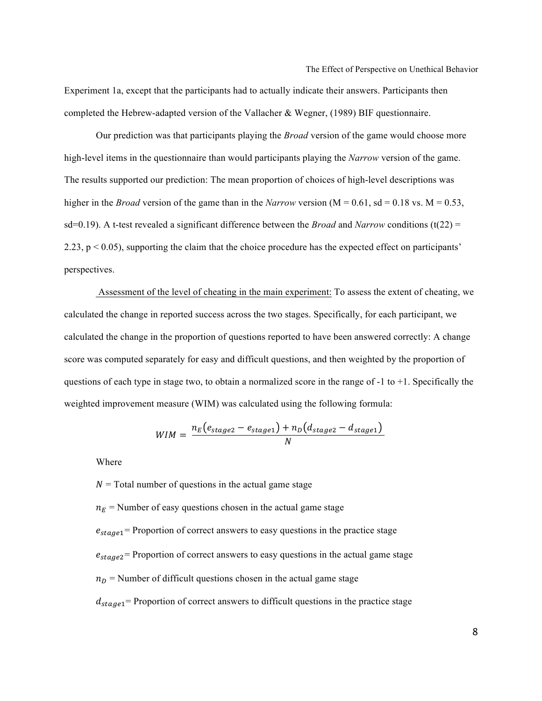Experiment 1a, except that the participants had to actually indicate their answers. Participants then completed the Hebrew-adapted version of the Vallacher & Wegner, (1989) BIF questionnaire.

Our prediction was that participants playing the *Broad* version of the game would choose more high-level items in the questionnaire than would participants playing the *Narrow* version of the game. The results supported our prediction: The mean proportion of choices of high-level descriptions was higher in the *Broad* version of the game than in the *Narrow* version ( $M = 0.61$ , sd = 0.18 vs.  $M = 0.53$ , sd=0.19). A t-test revealed a significant difference between the *Broad* and *Narrow* conditions (t(22) = 2.23,  $p < 0.05$ ), supporting the claim that the choice procedure has the expected effect on participants' perspectives.

Assessment of the level of cheating in the main experiment: To assess the extent of cheating, we calculated the change in reported success across the two stages. Specifically, for each participant, we calculated the change in the proportion of questions reported to have been answered correctly: A change score was computed separately for easy and difficult questions, and then weighted by the proportion of questions of each type in stage two, to obtain a normalized score in the range of  $-1$  to  $+1$ . Specifically the weighted improvement measure (WIM) was calculated using the following formula:

$$
WIM = \frac{n_E(e_{stage2} - e_{stage1}) + n_D(d_{stage2} - d_{stage1})}{N}
$$

Where

 $N =$ Total number of questions in the actual game stage  $n_E$  = Number of easy questions chosen in the actual game stage  $e_{stage1}$  = Proportion of correct answers to easy questions in the practice stage  $e_{stage2}$  Proportion of correct answers to easy questions in the actual game stage  $n_D$  = Number of difficult questions chosen in the actual game stage  $d_{stage1}$  = Proportion of correct answers to difficult questions in the practice stage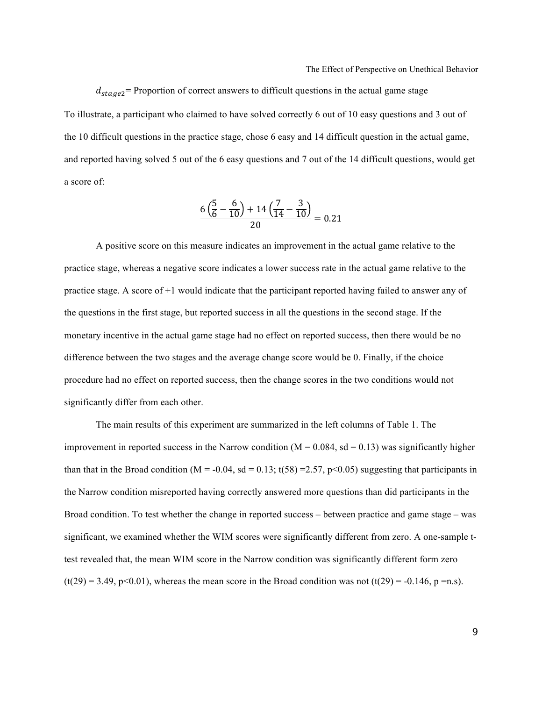$d_{stage2}$  Proportion of correct answers to difficult questions in the actual game stage To illustrate, a participant who claimed to have solved correctly 6 out of 10 easy questions and 3 out of the 10 difficult questions in the practice stage, chose 6 easy and 14 difficult question in the actual game, and reported having solved 5 out of the 6 easy questions and 7 out of the 14 difficult questions, would get a score of:

$$
\frac{6\left(\frac{5}{6}-\frac{6}{10}\right)+14\left(\frac{7}{14}-\frac{3}{10}\right)}{20}=0.21
$$

A positive score on this measure indicates an improvement in the actual game relative to the practice stage, whereas a negative score indicates a lower success rate in the actual game relative to the practice stage. A score of +1 would indicate that the participant reported having failed to answer any of the questions in the first stage, but reported success in all the questions in the second stage. If the monetary incentive in the actual game stage had no effect on reported success, then there would be no difference between the two stages and the average change score would be 0. Finally, if the choice procedure had no effect on reported success, then the change scores in the two conditions would not significantly differ from each other.

The main results of this experiment are summarized in the left columns of Table 1. The improvement in reported success in the Narrow condition  $(M = 0.084, sd = 0.13)$  was significantly higher than that in the Broad condition (M = -0.04, sd = 0.13; t(58) = 2.57, p<0.05) suggesting that participants in the Narrow condition misreported having correctly answered more questions than did participants in the Broad condition. To test whether the change in reported success – between practice and game stage – was significant, we examined whether the WIM scores were significantly different from zero. A one-sample ttest revealed that, the mean WIM score in the Narrow condition was significantly different form zero  $(t(29) = 3.49, p<0.01)$ , whereas the mean score in the Broad condition was not  $(t(29) = -0.146, p = n.s)$ .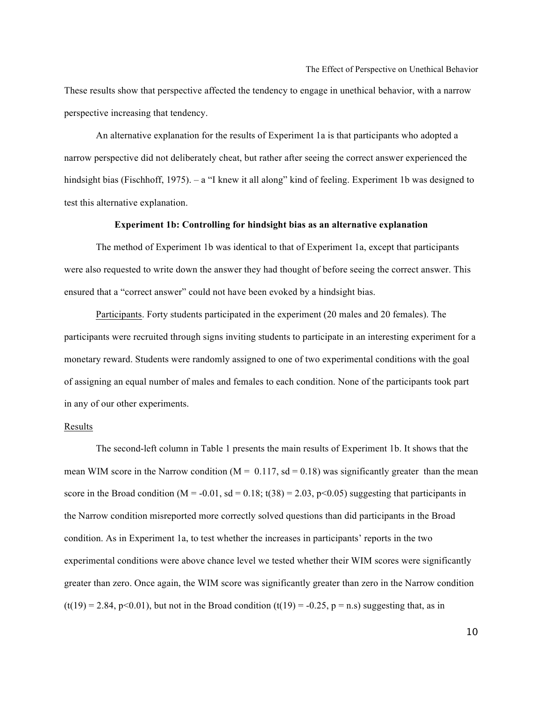These results show that perspective affected the tendency to engage in unethical behavior, with a narrow perspective increasing that tendency.

An alternative explanation for the results of Experiment 1a is that participants who adopted a narrow perspective did not deliberately cheat, but rather after seeing the correct answer experienced the hindsight bias (Fischhoff, 1975). – a "I knew it all along" kind of feeling. Experiment 1b was designed to test this alternative explanation.

#### **Experiment 1b: Controlling for hindsight bias as an alternative explanation**

The method of Experiment 1b was identical to that of Experiment 1a, except that participants were also requested to write down the answer they had thought of before seeing the correct answer. This ensured that a "correct answer" could not have been evoked by a hindsight bias.

Participants. Forty students participated in the experiment (20 males and 20 females). The participants were recruited through signs inviting students to participate in an interesting experiment for a monetary reward. Students were randomly assigned to one of two experimental conditions with the goal of assigning an equal number of males and females to each condition. None of the participants took part in any of our other experiments.

#### Results

The second-left column in Table 1 presents the main results of Experiment 1b. It shows that the mean WIM score in the Narrow condition ( $M = 0.117$ , sd = 0.18) was significantly greater than the mean score in the Broad condition ( $M = -0.01$ , sd = 0.18; t(38) = 2.03, p<0.05) suggesting that participants in the Narrow condition misreported more correctly solved questions than did participants in the Broad condition. As in Experiment 1a, to test whether the increases in participants' reports in the two experimental conditions were above chance level we tested whether their WIM scores were significantly greater than zero. Once again, the WIM score was significantly greater than zero in the Narrow condition  $(t(19) = 2.84, p<0.01)$ , but not in the Broad condition  $(t(19) = -0.25, p = n.s)$  suggesting that, as in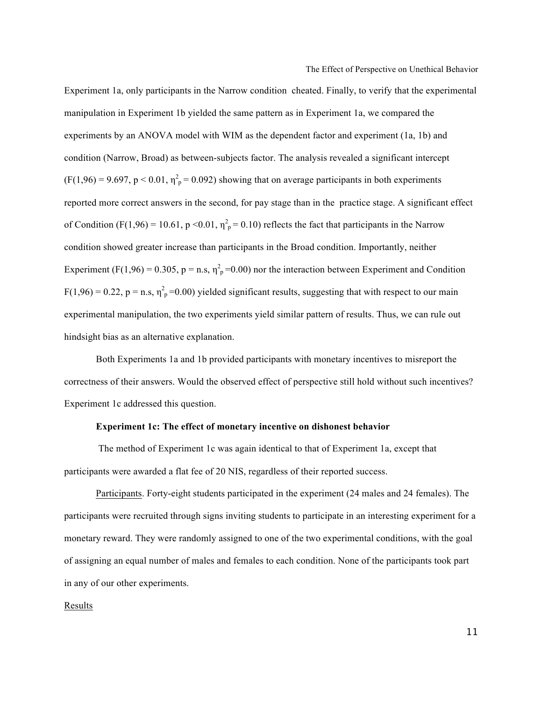Experiment 1a, only participants in the Narrow condition cheated. Finally, to verify that the experimental manipulation in Experiment 1b yielded the same pattern as in Experiment 1a, we compared the experiments by an ANOVA model with WIM as the dependent factor and experiment (1a, 1b) and condition (Narrow, Broad) as between-subjects factor. The analysis revealed a significant intercept  $(F(1,96) = 9.697, p < 0.01, \eta^2 = 0.092)$  showing that on average participants in both experiments reported more correct answers in the second, for pay stage than in the practice stage. A significant effect of Condition (F(1,96) = 10.61, p < 0.01,  $\eta_p^2$  = 0.10) reflects the fact that participants in the Narrow condition showed greater increase than participants in the Broad condition. Importantly, neither Experiment (F(1,96) = 0.305, p = n.s,  $\eta_p^2$  =0.00) nor the interaction between Experiment and Condition  $F(1,96) = 0.22$ ,  $p = n.s$ ,  $\eta_p^2 = 0.00$ ) yielded significant results, suggesting that with respect to our main experimental manipulation, the two experiments yield similar pattern of results. Thus, we can rule out hindsight bias as an alternative explanation.

Both Experiments 1a and 1b provided participants with monetary incentives to misreport the correctness of their answers. Would the observed effect of perspective still hold without such incentives? Experiment 1c addressed this question.

#### **Experiment 1c: The effect of monetary incentive on dishonest behavior**

The method of Experiment 1c was again identical to that of Experiment 1a, except that participants were awarded a flat fee of 20 NIS, regardless of their reported success.

Participants. Forty-eight students participated in the experiment (24 males and 24 females). The participants were recruited through signs inviting students to participate in an interesting experiment for a monetary reward. They were randomly assigned to one of the two experimental conditions, with the goal of assigning an equal number of males and females to each condition. None of the participants took part in any of our other experiments.

#### Results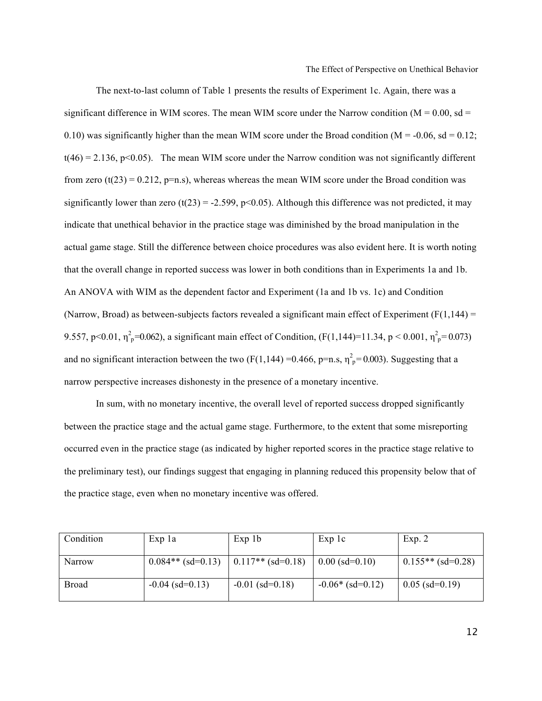The next-to-last column of Table 1 presents the results of Experiment 1c. Again, there was a significant difference in WIM scores. The mean WIM score under the Narrow condition ( $M = 0.00$ , sd = 0.10) was significantly higher than the mean WIM score under the Broad condition ( $M = -0.06$ , sd = 0.12;  $t(46) = 2.136$ , p<0.05). The mean WIM score under the Narrow condition was not significantly different from zero (t(23) = 0.212, p=n.s), whereas whereas the mean WIM score under the Broad condition was significantly lower than zero (t(23) = -2.599, p<0.05). Although this difference was not predicted, it may indicate that unethical behavior in the practice stage was diminished by the broad manipulation in the actual game stage. Still the difference between choice procedures was also evident here. It is worth noting that the overall change in reported success was lower in both conditions than in Experiments 1a and 1b. An ANOVA with WIM as the dependent factor and Experiment (1a and 1b vs. 1c) and Condition (Narrow, Broad) as between-subjects factors revealed a significant main effect of Experiment ( $F(1,144)$ ) = 9.557, p<0.01,  $\eta_p^2$ =0.062), a significant main effect of Condition, (F(1,144)=11.34, p < 0.001,  $\eta_p^2$ =0.073) and no significant interaction between the two (F(1,144) = 0.466, p=n.s,  $\eta_p^2$  = 0.003). Suggesting that a narrow perspective increases dishonesty in the presence of a monetary incentive.

In sum, with no monetary incentive, the overall level of reported success dropped significantly between the practice stage and the actual game stage. Furthermore, to the extent that some misreporting occurred even in the practice stage (as indicated by higher reported scores in the practice stage relative to the preliminary test), our findings suggest that engaging in planning reduced this propensity below that of the practice stage, even when no monetary incentive was offered.

| Condition | Exp la              | Exp 1b                    | $Exp$ 1 $c$          | Exp. 2              |
|-----------|---------------------|---------------------------|----------------------|---------------------|
| Narrow    | $0.084**$ (sd=0.13) | $\vert 0.117**$ (sd=0.18) | $0.00$ (sd= $0.10$ ) | $0.155**$ (sd=0.28) |
| Broad     | $-0.04$ (sd=0.13)   | $-0.01$ (sd=0.18)         | $-0.06*(sd=0.12)$    | $0.05$ (sd=0.19)    |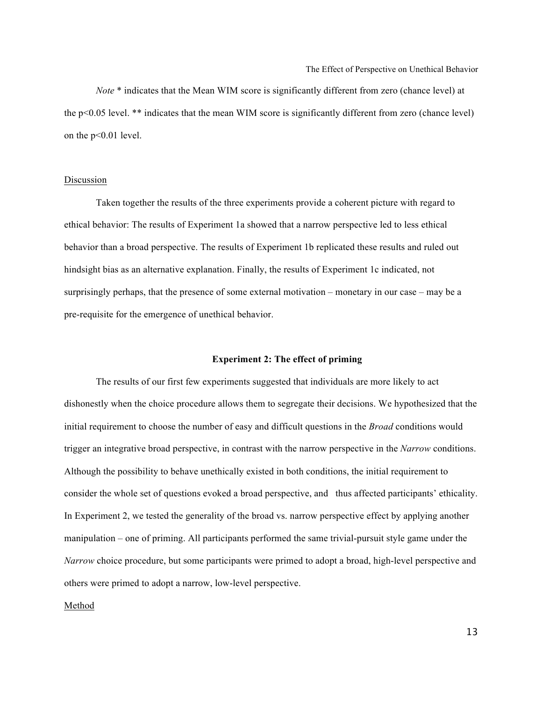*Note* \* indicates that the Mean WIM score is significantly different from zero (chance level) at the p<0.05 level. \*\* indicates that the mean WIM score is significantly different from zero (chance level) on the p<0.01 level.

#### Discussion

Taken together the results of the three experiments provide a coherent picture with regard to ethical behavior: The results of Experiment 1a showed that a narrow perspective led to less ethical behavior than a broad perspective. The results of Experiment 1b replicated these results and ruled out hindsight bias as an alternative explanation. Finally, the results of Experiment 1c indicated, not surprisingly perhaps, that the presence of some external motivation – monetary in our case – may be a pre-requisite for the emergence of unethical behavior.

#### **Experiment 2: The effect of priming**

The results of our first few experiments suggested that individuals are more likely to act dishonestly when the choice procedure allows them to segregate their decisions. We hypothesized that the initial requirement to choose the number of easy and difficult questions in the *Broad* conditions would trigger an integrative broad perspective, in contrast with the narrow perspective in the *Narrow* conditions. Although the possibility to behave unethically existed in both conditions, the initial requirement to consider the whole set of questions evoked a broad perspective, and thus affected participants' ethicality. In Experiment 2, we tested the generality of the broad vs. narrow perspective effect by applying another manipulation – one of priming. All participants performed the same trivial-pursuit style game under the *Narrow* choice procedure, but some participants were primed to adopt a broad, high-level perspective and others were primed to adopt a narrow, low-level perspective.

#### Method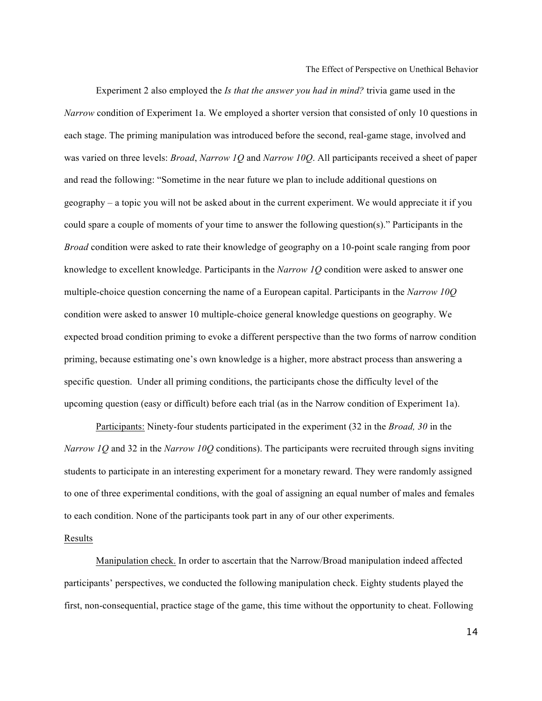Experiment 2 also employed the *Is that the answer you had in mind?* trivia game used in the *Narrow* condition of Experiment 1a. We employed a shorter version that consisted of only 10 questions in each stage. The priming manipulation was introduced before the second, real-game stage, involved and was varied on three levels: *Broad*, *Narrow 1Q* and *Narrow 10Q*. All participants received a sheet of paper and read the following: "Sometime in the near future we plan to include additional questions on geography – a topic you will not be asked about in the current experiment. We would appreciate it if you could spare a couple of moments of your time to answer the following question(s)." Participants in the *Broad* condition were asked to rate their knowledge of geography on a 10-point scale ranging from poor knowledge to excellent knowledge. Participants in the *Narrow 1Q* condition were asked to answer one multiple-choice question concerning the name of a European capital. Participants in the *Narrow 10Q*  condition were asked to answer 10 multiple-choice general knowledge questions on geography. We expected broad condition priming to evoke a different perspective than the two forms of narrow condition priming, because estimating one's own knowledge is a higher, more abstract process than answering a specific question. Under all priming conditions, the participants chose the difficulty level of the upcoming question (easy or difficult) before each trial (as in the Narrow condition of Experiment 1a).

Participants: Ninety-four students participated in the experiment (32 in the *Broad, 30* in the *Narrow 1Q* and 32 in the *Narrow 10Q* conditions). The participants were recruited through signs inviting students to participate in an interesting experiment for a monetary reward. They were randomly assigned to one of three experimental conditions, with the goal of assigning an equal number of males and females to each condition. None of the participants took part in any of our other experiments.

#### Results

Manipulation check. In order to ascertain that the Narrow/Broad manipulation indeed affected participants' perspectives, we conducted the following manipulation check. Eighty students played the first, non-consequential, practice stage of the game, this time without the opportunity to cheat. Following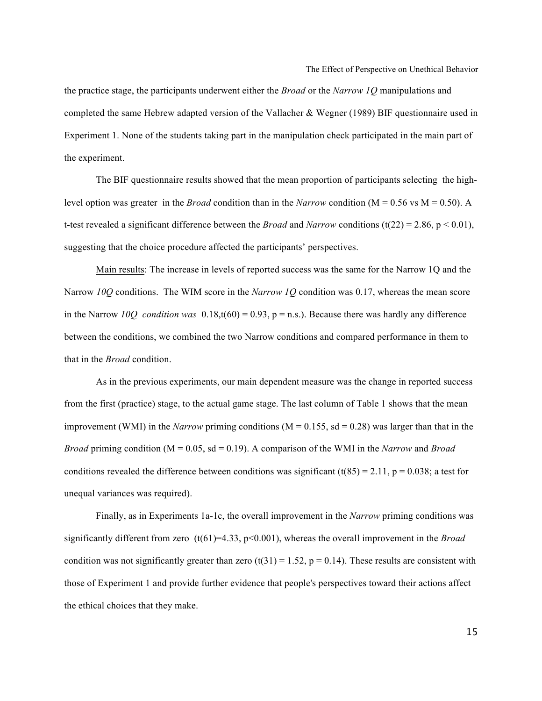the practice stage, the participants underwent either the *Broad* or the *Narrow 1Q* manipulations and completed the same Hebrew adapted version of the Vallacher & Wegner (1989) BIF questionnaire used in Experiment 1. None of the students taking part in the manipulation check participated in the main part of the experiment.

The BIF questionnaire results showed that the mean proportion of participants selecting the highlevel option was greater in the *Broad* condition than in the *Narrow* condition (M = 0.56 vs M = 0.50). A t-test revealed a significant difference between the *Broad* and *Narrow* conditions (t(22) = 2.86, p < 0.01), suggesting that the choice procedure affected the participants' perspectives.

Main results: The increase in levels of reported success was the same for the Narrow 1Q and the Narrow *10Q* conditions. The WIM score in the *Narrow 1Q* condition was 0.17, whereas the mean score in the Narrow *10Q condition was*  $0.18$ ,t(60) = 0.93, p = n.s.). Because there was hardly any difference between the conditions, we combined the two Narrow conditions and compared performance in them to that in the *Broad* condition.

As in the previous experiments, our main dependent measure was the change in reported success from the first (practice) stage, to the actual game stage. The last column of Table 1 shows that the mean improvement (WMI) in the *Narrow* priming conditions (M = 0.155, sd = 0.28) was larger than that in the *Broad* priming condition (M = 0.05, sd = 0.19). A comparison of the WMI in the *Narrow* and *Broad* conditions revealed the difference between conditions was significant  $(t(85) = 2.11, p = 0.038;$  a test for unequal variances was required).

Finally, as in Experiments 1a-1c, the overall improvement in the *Narrow* priming conditions was significantly different from zero (t(61)=4.33, p<0.001), whereas the overall improvement in the *Broad* condition was not significantly greater than zero  $(t(31) = 1.52, p = 0.14)$ . These results are consistent with those of Experiment 1 and provide further evidence that people's perspectives toward their actions affect the ethical choices that they make.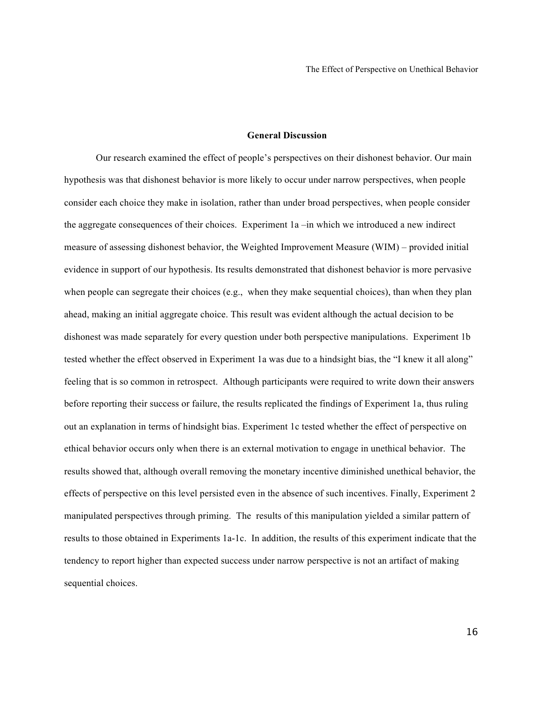#### **General Discussion**

Our research examined the effect of people's perspectives on their dishonest behavior. Our main hypothesis was that dishonest behavior is more likely to occur under narrow perspectives, when people consider each choice they make in isolation, rather than under broad perspectives, when people consider the aggregate consequences of their choices. Experiment 1a –in which we introduced a new indirect measure of assessing dishonest behavior, the Weighted Improvement Measure (WIM) – provided initial evidence in support of our hypothesis. Its results demonstrated that dishonest behavior is more pervasive when people can segregate their choices (e.g., when they make sequential choices), than when they plan ahead, making an initial aggregate choice. This result was evident although the actual decision to be dishonest was made separately for every question under both perspective manipulations. Experiment 1b tested whether the effect observed in Experiment 1a was due to a hindsight bias, the "I knew it all along" feeling that is so common in retrospect. Although participants were required to write down their answers before reporting their success or failure, the results replicated the findings of Experiment 1a, thus ruling out an explanation in terms of hindsight bias. Experiment 1c tested whether the effect of perspective on ethical behavior occurs only when there is an external motivation to engage in unethical behavior. The results showed that, although overall removing the monetary incentive diminished unethical behavior, the effects of perspective on this level persisted even in the absence of such incentives. Finally, Experiment 2 manipulated perspectives through priming. The results of this manipulation yielded a similar pattern of results to those obtained in Experiments 1a-1c. In addition, the results of this experiment indicate that the tendency to report higher than expected success under narrow perspective is not an artifact of making sequential choices.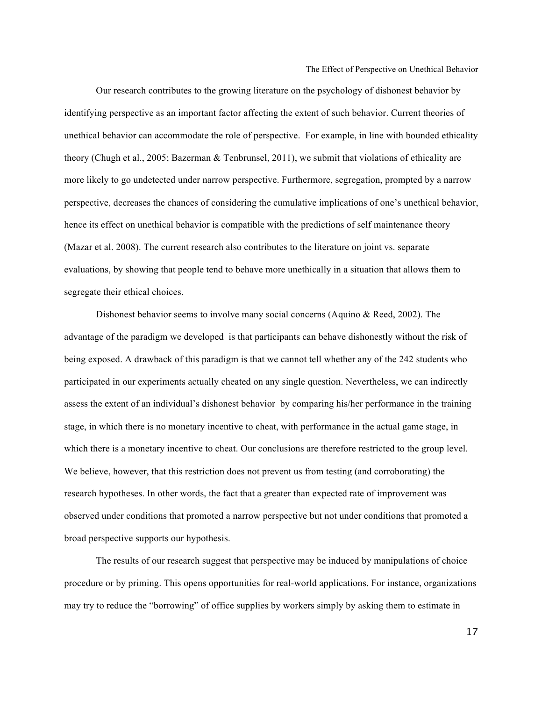Our research contributes to the growing literature on the psychology of dishonest behavior by identifying perspective as an important factor affecting the extent of such behavior. Current theories of unethical behavior can accommodate the role of perspective. For example, in line with bounded ethicality theory (Chugh et al., 2005; Bazerman & Tenbrunsel, 2011), we submit that violations of ethicality are more likely to go undetected under narrow perspective. Furthermore, segregation, prompted by a narrow perspective, decreases the chances of considering the cumulative implications of one's unethical behavior, hence its effect on unethical behavior is compatible with the predictions of self maintenance theory (Mazar et al. 2008). The current research also contributes to the literature on joint vs. separate evaluations, by showing that people tend to behave more unethically in a situation that allows them to segregate their ethical choices.

Dishonest behavior seems to involve many social concerns (Aquino & Reed, 2002). The advantage of the paradigm we developed is that participants can behave dishonestly without the risk of being exposed. A drawback of this paradigm is that we cannot tell whether any of the 242 students who participated in our experiments actually cheated on any single question. Nevertheless, we can indirectly assess the extent of an individual's dishonest behavior by comparing his/her performance in the training stage, in which there is no monetary incentive to cheat, with performance in the actual game stage, in which there is a monetary incentive to cheat. Our conclusions are therefore restricted to the group level. We believe, however, that this restriction does not prevent us from testing (and corroborating) the research hypotheses. In other words, the fact that a greater than expected rate of improvement was observed under conditions that promoted a narrow perspective but not under conditions that promoted a broad perspective supports our hypothesis.

The results of our research suggest that perspective may be induced by manipulations of choice procedure or by priming. This opens opportunities for real-world applications. For instance, organizations may try to reduce the "borrowing" of office supplies by workers simply by asking them to estimate in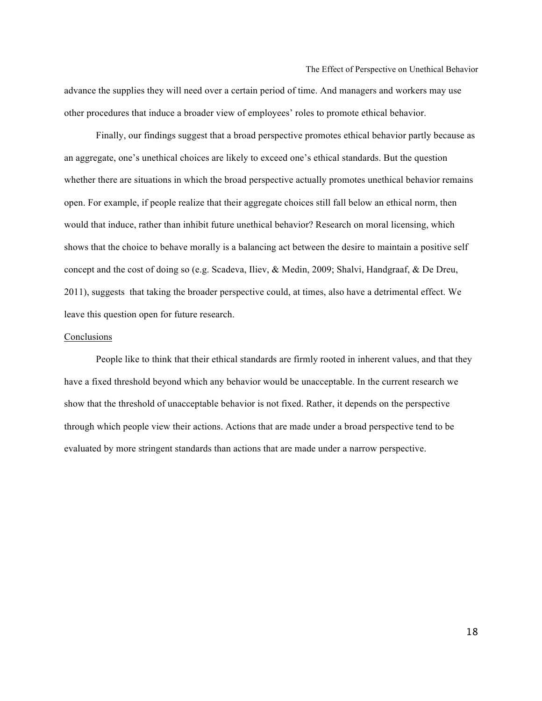advance the supplies they will need over a certain period of time. And managers and workers may use other procedures that induce a broader view of employees' roles to promote ethical behavior.

Finally, our findings suggest that a broad perspective promotes ethical behavior partly because as an aggregate, one's unethical choices are likely to exceed one's ethical standards. But the question whether there are situations in which the broad perspective actually promotes unethical behavior remains open. For example, if people realize that their aggregate choices still fall below an ethical norm, then would that induce, rather than inhibit future unethical behavior? Research on moral licensing, which shows that the choice to behave morally is a balancing act between the desire to maintain a positive self concept and the cost of doing so (e.g. Scadeva, Iliev, & Medin, 2009; Shalvi, Handgraaf, & De Dreu, 2011), suggests that taking the broader perspective could, at times, also have a detrimental effect. We leave this question open for future research.

#### Conclusions

People like to think that their ethical standards are firmly rooted in inherent values, and that they have a fixed threshold beyond which any behavior would be unacceptable. In the current research we show that the threshold of unacceptable behavior is not fixed. Rather, it depends on the perspective through which people view their actions. Actions that are made under a broad perspective tend to be evaluated by more stringent standards than actions that are made under a narrow perspective.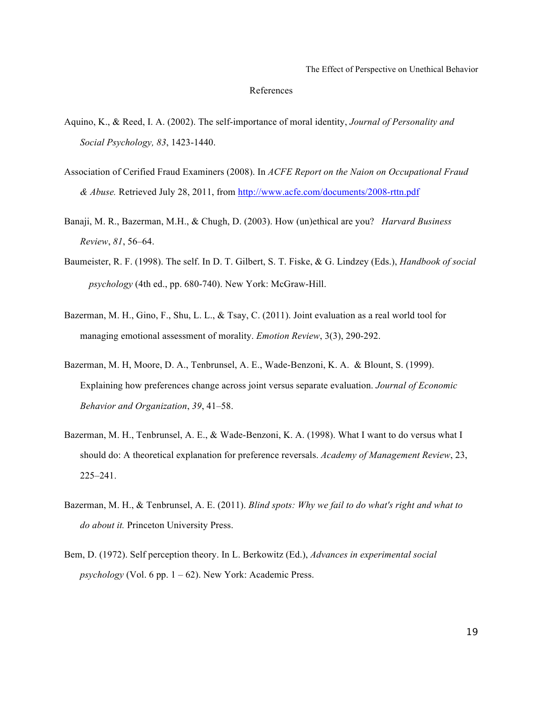#### References

- Aquino, K., & Reed, I. A. (2002). The self-importance of moral identity, *Journal of Personality and Social Psychology, 83*, 1423-1440.
- Association of Cerified Fraud Examiners (2008). In *ACFE Report on the Naion on Occupational Fraud & Abuse.* Retrieved July 28, 2011, from http://www.acfe.com/documents/2008-rttn.pdf
- Banaji, M. R., Bazerman, M.H., & Chugh, D. (2003). How (un)ethical are you? *Harvard Business Review*, *81*, 56–64.
- Baumeister, R. F. (1998). The self. In D. T. Gilbert, S. T. Fiske, & G. Lindzey (Eds.), *Handbook of social psychology* (4th ed., pp. 680-740). New York: McGraw-Hill.
- Bazerman, M. H., Gino, F., Shu, L. L., & Tsay, C. (2011). Joint evaluation as a real world tool for managing emotional assessment of morality. *Emotion Review*, 3(3), 290-292.
- Bazerman, M. H, Moore, D. A., Tenbrunsel, A. E., Wade-Benzoni, K. A. & Blount, S. (1999). Explaining how preferences change across joint versus separate evaluation. *Journal of Economic Behavior and Organization*, *39*, 41–58.
- Bazerman, M. H., Tenbrunsel, A. E., & Wade-Benzoni, K. A. (1998). What I want to do versus what I should do: A theoretical explanation for preference reversals. *Academy of Management Review*, 23, 225–241.
- Bazerman, M. H., & Tenbrunsel, A. E. (2011). *Blind spots: Why we fail to do what's right and what to do about it.* Princeton University Press.
- Bem, D. (1972). Self perception theory. In L. Berkowitz (Ed.), *Advances in experimental social psychology* (Vol. 6 pp. 1 – 62). New York: Academic Press.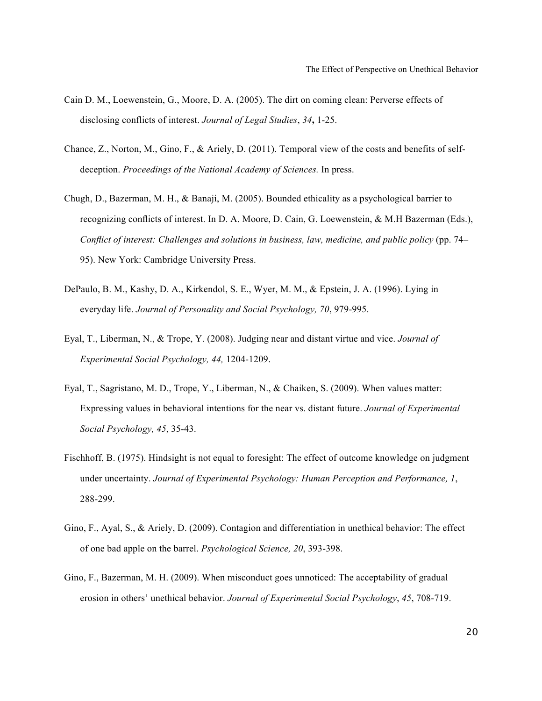- Cain D. M., Loewenstein, G., Moore, D. A. (2005). The dirt on coming clean: Perverse effects of disclosing conflicts of interest. *Journal of Legal Studies*, *34***,** 1-25.
- Chance, Z., Norton, M., Gino, F., & Ariely, D. (2011). Temporal view of the costs and benefits of selfdeception. *Proceedings of the National Academy of Sciences.* In press.
- Chugh, D., Bazerman, M. H., & Banaji, M. (2005). Bounded ethicality as a psychological barrier to recognizing conflicts of interest. In D. A. Moore, D. Cain, G. Loewenstein, & M.H Bazerman (Eds.), *Conflict of interest: Challenges and solutions in business, law, medicine, and public policy* (pp. 74– 95). New York: Cambridge University Press.
- DePaulo, B. M., Kashy, D. A., Kirkendol, S. E., Wyer, M. M., & Epstein, J. A. (1996). Lying in everyday life. *Journal of Personality and Social Psychology, 70*, 979-995.
- Eyal, T., Liberman, N., & Trope, Y. (2008). Judging near and distant virtue and vice. *Journal of Experimental Social Psychology, 44,* 1204-1209.
- Eyal, T., Sagristano, M. D., Trope, Y., Liberman, N., & Chaiken, S. (2009). When values matter: Expressing values in behavioral intentions for the near vs. distant future. *Journal of Experimental Social Psychology, 45*, 35-43.
- Fischhoff, B. (1975). Hindsight is not equal to foresight: The effect of outcome knowledge on judgment under uncertainty. *Journal of Experimental Psychology: Human Perception and Performance, 1*, 288-299.
- Gino, F., Ayal, S., & Ariely, D. (2009). Contagion and differentiation in unethical behavior: The effect of one bad apple on the barrel. *Psychological Science, 20*, 393-398.
- Gino, F., Bazerman, M. H. (2009). When misconduct goes unnoticed: The acceptability of gradual erosion in others' unethical behavior. *Journal of Experimental Social Psychology*, *45*, 708-719.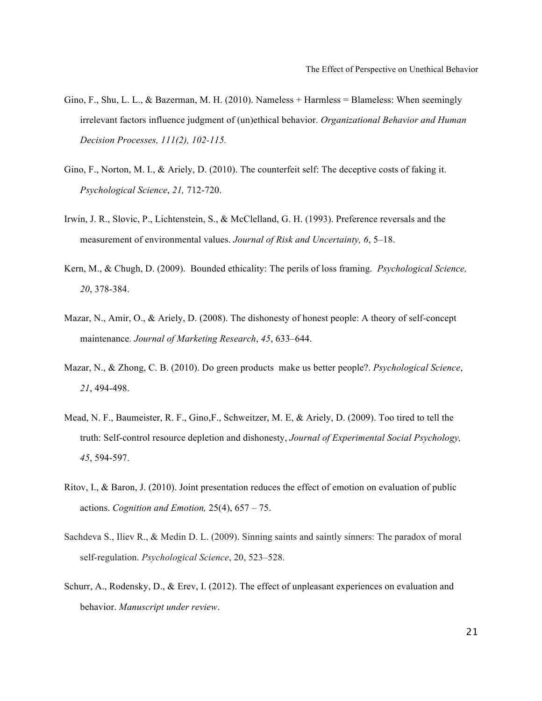- Gino, F., Shu, L. L., & Bazerman, M. H. (2010). Nameless + Harmless = Blameless: When seemingly irrelevant factors influence judgment of (un)ethical behavior. *Organizational Behavior and Human Decision Processes, 111(2), 102-115.*
- Gino, F., Norton, M. I., & Ariely, D. (2010). The counterfeit self: The deceptive costs of faking it. *Psychological Science*, *21,* 712-720.
- Irwin, J. R., Slovic, P., Lichtenstein, S., & McClelland, G. H. (1993). Preference reversals and the measurement of environmental values. *Journal of Risk and Uncertainty, 6*, 5–18.
- Kern, M., & Chugh, D. (2009). Bounded ethicality: The perils of loss framing. *Psychological Science, 20*, 378-384.
- Mazar, N., Amir, O., & Ariely, D. (2008). The dishonesty of honest people: A theory of self-concept maintenance. *Journal of Marketing Research*, *45*, 633–644.
- Mazar, N., & Zhong, C. B. (2010). Do green products make us better people?. *Psychological Science*, *21*, 494-498.
- Mead, N. F., Baumeister, R. F., Gino,F., Schweitzer, M. E, & Ariely, D. (2009). Too tired to tell the truth: Self-control resource depletion and dishonesty, *Journal of Experimental Social Psychology, 45*, 594-597.
- Ritov, I., & Baron, J. (2010). Joint presentation reduces the effect of emotion on evaluation of public actions. *Cognition and Emotion,* 25(4), 657 – 75.
- Sachdeva S., Iliev R., & Medin D. L. (2009). Sinning saints and saintly sinners: The paradox of moral self-regulation. *Psychological Science*, 20, 523–528.
- Schurr, A., Rodensky, D., & Erev, I. (2012). The effect of unpleasant experiences on evaluation and behavior. *Manuscript under review*.